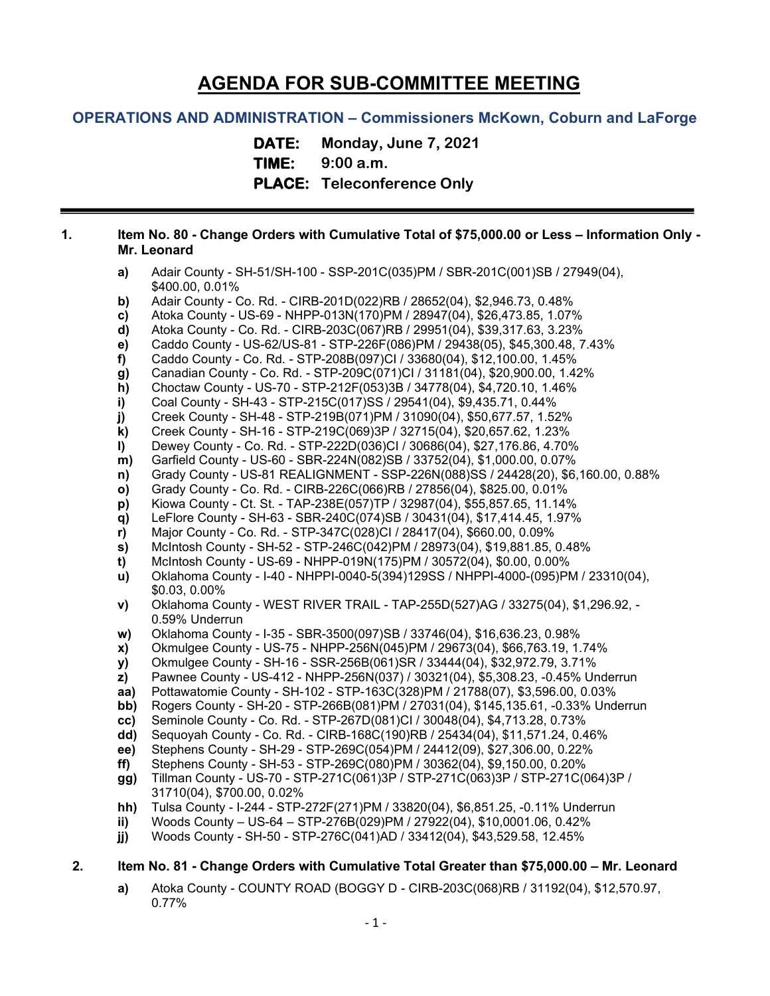# **AGENDA FOR SUB-COMMITTEE MEETING**

## **OPERATIONS AND ADMINISTRATION – Commissioners McKown, Coburn and LaForge**

**DATE: Monday, June 7, 2021 TIME: 9:00 a.m. PLACE: Teleconference Only**

#### **1. Item No. 80 - Change Orders with Cumulative Total of \$75,000.00 or Less – Information Only - Mr. Leonard**

- **a)** Adair County SH-51/SH-100 SSP-201C(035)PM / SBR-201C(001)SB / 27949(04), \$400.00, 0.01%
- **b)** Adair County Co. Rd. CIRB-201D(022)RB / 28652(04), \$2,946.73, 0.48%
- **c)** Atoka County US-69 NHPP-013N(170)PM / 28947(04), \$26,473.85, 1.07%
- **d)** Atoka County Co. Rd. CIRB-203C(067)RB / 29951(04), \$39,317.63, 3.23%
- **e)** Caddo County US-62/US-81 STP-226F(086)PM / 29438(05), \$45,300.48, 7.43%
- **f)** Caddo County Co. Rd. STP-208B(097)CI / 33680(04), \$12,100.00, 1.45%
- **g)** Canadian County Co. Rd. STP-209C(071)CI / 31181(04), \$20,900.00, 1.42%
- **h)** Choctaw County US-70 STP-212F(053)3B / 34778(04), \$4,720.10, 1.46%
- **i)** Coal County SH-43 STP-215C(017)SS / 29541(04), \$9,435.71, 0.44%
- **j)** Creek County SH-48 STP-219B(071)PM / 31090(04), \$50,677.57, 1.52%
- **k)** Creek County SH-16 STP-219C(069)3P / 32715(04), \$20,657.62, 1.23%
- **l)** Dewey County Co. Rd. STP-222D(036)CI / 30686(04), \$27,176.86, 4.70%
- **m)** Garfield County US-60 SBR-224N(082)SB / 33752(04), \$1,000.00, 0.07%
- **n)** Grady County US-81 REALIGNMENT SSP-226N(088)SS / 24428(20), \$6,160.00, 0.88%
- **o)** Grady County Co. Rd. CIRB-226C(066)RB / 27856(04), \$825.00, 0.01%
- **p)** Kiowa County Ct. St. TAP-238E(057)TP / 32987(04), \$55,857.65, 11.14%
- **q)** LeFlore County SH-63 SBR-240C(074)SB / 30431(04), \$17,414.45, 1.97%
- **r)** Major County Co. Rd. STP-347C(028)CI / 28417(04), \$660.00, 0.09%
- **s)** McIntosh County SH-52 STP-246C(042)PM / 28973(04), \$19,881.85, 0.48%
- **t)** McIntosh County US-69 NHPP-019N(175)PM / 30572(04), \$0.00, 0.00%
- **u)** Oklahoma County I-40 NHPPI-0040-5(394)129SS / NHPPI-4000-(095)PM / 23310(04), \$0.03, 0.00%
- **v)** Oklahoma County WEST RIVER TRAIL TAP-255D(527)AG / 33275(04), \$1,296.92, 0.59% Underrun
- **w)** Oklahoma County I-35 SBR-3500(097)SB / 33746(04), \$16,636.23, 0.98%
- **x)** Okmulgee County US-75 NHPP-256N(045)PM / 29673(04), \$66,763.19, 1.74%
- **y)** Okmulgee County SH-16 SSR-256B(061)SR / 33444(04), \$32,972.79, 3.71%
- **z)** Pawnee County US-412 NHPP-256N(037) / 30321(04), \$5,308.23, -0.45% Underrun
- **aa)** Pottawatomie County SH-102 STP-163C(328)PM / 21788(07), \$3,596.00, 0.03%
- **bb)** Rogers County SH-20 STP-266B(081)PM / 27031(04), \$145,135.61, -0.33% Underrun
- **cc)** Seminole County Co. Rd. STP-267D(081)CI / 30048(04), \$4,713.28, 0.73%
- **dd)** Sequoyah County Co. Rd. CIRB-168C(190)RB / 25434(04), \$11,571.24, 0.46%
- **ee)** Stephens County SH-29 STP-269C(054)PM / 24412(09), \$27,306.00, 0.22%
- **ff)** Stephens County SH-53 STP-269C(080)PM / 30362(04), \$9,150.00, 0.20%
- **gg)** Tillman County US-70 STP-271C(061)3P / STP-271C(063)3P / STP-271C(064)3P / 31710(04), \$700.00, 0.02%
- **hh)** Tulsa County I-244 STP-272F(271)PM / 33820(04), \$6,851.25, -0.11% Underrun
- **ii)** Woods County US-64 STP-276B(029)PM / 27922(04), \$10,0001.06, 0.42%
- **jj)** Woods County SH-50 STP-276C(041)AD / 33412(04), \$43,529.58, 12.45%

# **2. Item No. 81 - Change Orders with Cumulative Total Greater than \$75,000.00 – Mr. Leonard**

**a)** Atoka County - COUNTY ROAD (BOGGY D - CIRB-203C(068)RB / 31192(04), \$12,570.97, 0.77%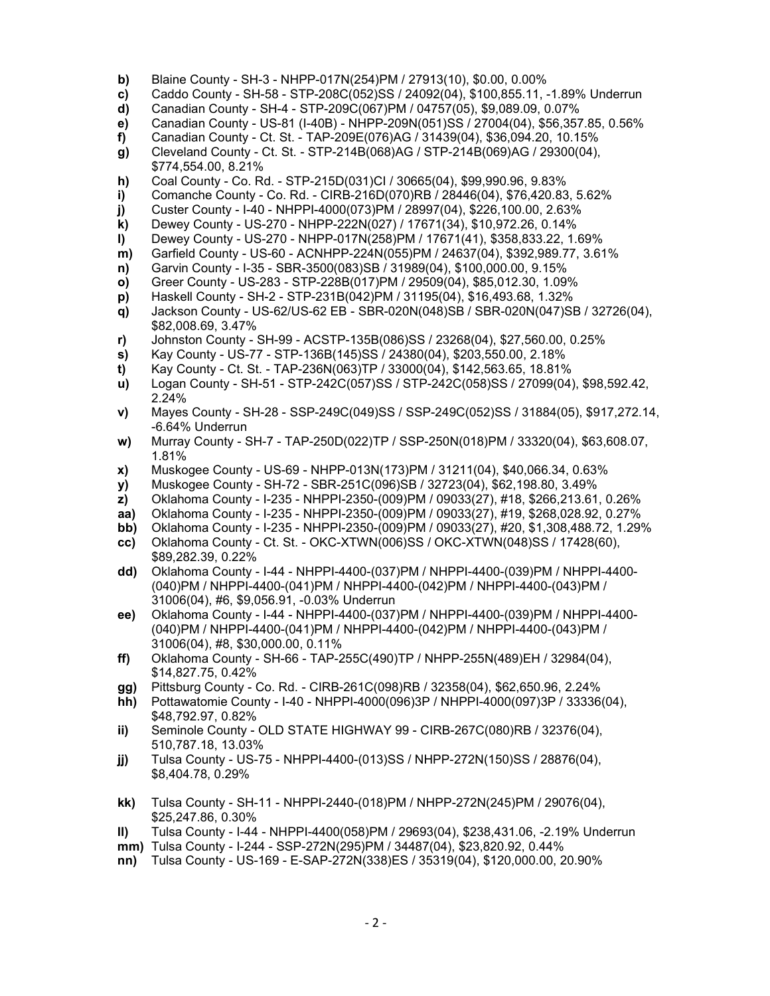- **b)** Blaine County SH-3 NHPP-017N(254)PM / 27913(10), \$0.00, 0.00%
- **c)** Caddo County SH-58 STP-208C(052)SS / 24092(04), \$100,855.11, -1.89% Underrun
- **d)** Canadian County SH-4 STP-209C(067)PM / 04757(05), \$9,089.09, 0.07%
- **e)** Canadian County US-81 (I-40B) NHPP-209N(051)SS / 27004(04), \$56,357.85, 0.56%
- **f)** Canadian County Ct. St. TAP-209E(076)AG / 31439(04), \$36,094.20, 10.15%
- **g)** Cleveland County Ct. St. STP-214B(068)AG / STP-214B(069)AG / 29300(04),
- \$774,554.00, 8.21%
- **h)** Coal County Co. Rd. STP-215D(031)CI / 30665(04), \$99,990.96, 9.83%
- **i)** Comanche County Co. Rd. CIRB-216D(070)RB / 28446(04), \$76,420.83, 5.62%
- **j)** Custer County I-40 NHPPI-4000(073)PM / 28997(04), \$226,100.00, 2.63%
- **k)** Dewey County US-270 NHPP-222N(027) / 17671(34), \$10,972.26, 0.14%
- **l)** Dewey County US-270 NHPP-017N(258)PM / 17671(41), \$358,833.22, 1.69%
- **m)** Garfield County US-60 ACNHPP-224N(055)PM / 24637(04), \$392,989.77, 3.61%
- **n)** Garvin County I-35 SBR-3500(083)SB / 31989(04), \$100,000.00, 9.15%
- **o)** Greer County US-283 STP-228B(017)PM / 29509(04), \$85,012.30, 1.09%
- **p)** Haskell County SH-2 STP-231B(042)PM / 31195(04), \$16,493.68, 1.32%
- **q)** Jackson County US-62/US-62 EB SBR-020N(048)SB / SBR-020N(047)SB / 32726(04), \$82,008.69, 3.47%
- **r)** Johnston County SH-99 ACSTP-135B(086)SS / 23268(04), \$27,560.00, 0.25%
- **s)** Kay County US-77 STP-136B(145)SS / 24380(04), \$203,550.00, 2.18%
- **t)** Kay County Ct. St. TAP-236N(063)TP / 33000(04), \$142,563.65, 18.81%
- **u)** Logan County SH-51 STP-242C(057)SS / STP-242C(058)SS / 27099(04), \$98,592.42, 2.24%
- **v)** Mayes County SH-28 SSP-249C(049)SS / SSP-249C(052)SS / 31884(05), \$917,272.14, -6.64% Underrun
- **w)** Murray County SH-7 TAP-250D(022)TP / SSP-250N(018)PM / 33320(04), \$63,608.07, 1.81%
- **x)** Muskogee County US-69 NHPP-013N(173)PM / 31211(04), \$40,066.34, 0.63%
- **y)** Muskogee County SH-72 SBR-251C(096)SB / 32723(04), \$62,198.80, 3.49%
- **z)** Oklahoma County I-235 NHPPI-2350-(009)PM / 09033(27), #18, \$266,213.61, 0.26%
- **aa)** Oklahoma County I-235 NHPPI-2350-(009)PM / 09033(27), #19, \$268,028.92, 0.27%
- **bb)** Oklahoma County I-235 NHPPI-2350-(009)PM / 09033(27), #20, \$1,308,488.72, 1.29%
- **cc)** Oklahoma County Ct. St. OKC-XTWN(006)SS / OKC-XTWN(048)SS / 17428(60), \$89,282.39, 0.22%
- **dd)** Oklahoma County I-44 NHPPI-4400-(037)PM / NHPPI-4400-(039)PM / NHPPI-4400- (040)PM / NHPPI-4400-(041)PM / NHPPI-4400-(042)PM / NHPPI-4400-(043)PM / 31006(04), #6, \$9,056.91, -0.03% Underrun
- **ee)** Oklahoma County I-44 NHPPI-4400-(037)PM / NHPPI-4400-(039)PM / NHPPI-4400- (040)PM / NHPPI-4400-(041)PM / NHPPI-4400-(042)PM / NHPPI-4400-(043)PM / 31006(04), #8, \$30,000.00, 0.11%
- **ff)** Oklahoma County SH-66 TAP-255C(490)TP / NHPP-255N(489)EH / 32984(04), \$14,827.75, 0.42%
- **gg)** Pittsburg County Co. Rd. CIRB-261C(098)RB / 32358(04), \$62,650.96, 2.24%
- **hh)** Pottawatomie County I-40 NHPPI-4000(096)3P / NHPPI-4000(097)3P / 33336(04), \$48,792.97, 0.82%
- **ii)** Seminole County OLD STATE HIGHWAY 99 CIRB-267C(080)RB / 32376(04), 510,787.18, 13.03%
- **jj)** Tulsa County US-75 NHPPI-4400-(013)SS / NHPP-272N(150)SS / 28876(04), \$8,404.78, 0.29%
- **kk)** Tulsa County SH-11 NHPPI-2440-(018)PM / NHPP-272N(245)PM / 29076(04), \$25,247.86, 0.30%
- **ll)** Tulsa County I-44 NHPPI-4400(058)PM / 29693(04), \$238,431.06, -2.19% Underrun
- **mm)** Tulsa County I-244 SSP-272N(295)PM / 34487(04), \$23,820.92, 0.44%
- **nn)** Tulsa County US-169 E-SAP-272N(338)ES / 35319(04), \$120,000.00, 20.90%